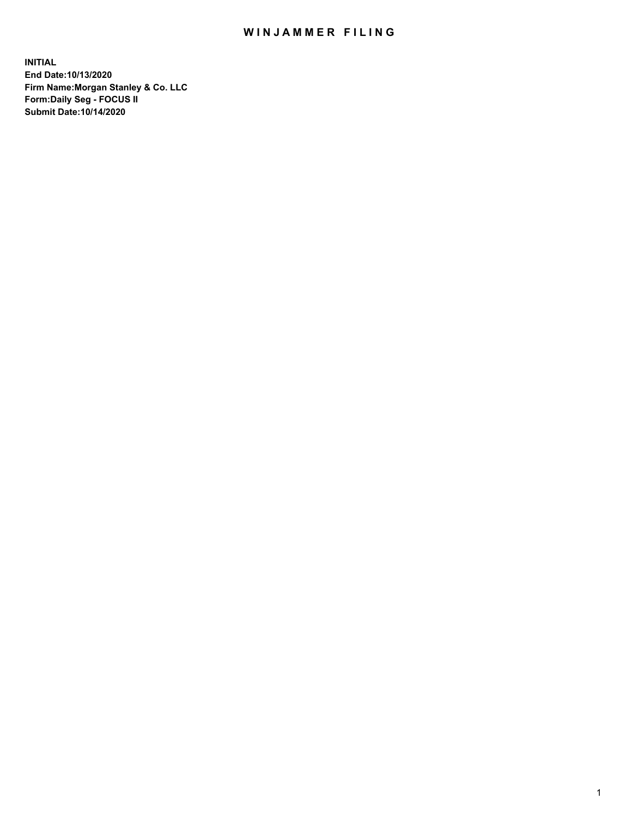# WIN JAMMER FILING

**INITIAL End Date:10/13/2020 Firm Name:Morgan Stanley & Co. LLC Form:Daily Seg - FOCUS II Submit Date:10/14/2020**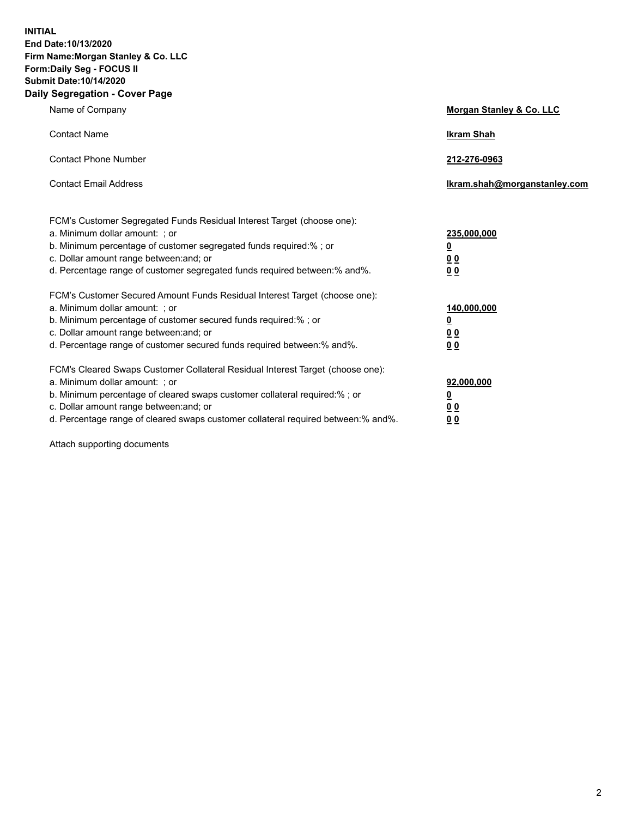**INITIAL End Date:10/13/2020 Firm Name:Morgan Stanley & Co. LLC Form:Daily Seg - FOCUS II Submit Date:10/14/2020 Daily Segregation - Cover Page**

| Name of Company                                                                                                                                                                                                                                                                                                                | Morgan Stanley & Co. LLC                                |
|--------------------------------------------------------------------------------------------------------------------------------------------------------------------------------------------------------------------------------------------------------------------------------------------------------------------------------|---------------------------------------------------------|
| <b>Contact Name</b>                                                                                                                                                                                                                                                                                                            | <b>Ikram Shah</b>                                       |
| <b>Contact Phone Number</b>                                                                                                                                                                                                                                                                                                    | 212-276-0963                                            |
| <b>Contact Email Address</b>                                                                                                                                                                                                                                                                                                   | Ikram.shah@morganstanley.com                            |
| FCM's Customer Segregated Funds Residual Interest Target (choose one):<br>a. Minimum dollar amount: ; or<br>b. Minimum percentage of customer segregated funds required:% ; or<br>c. Dollar amount range between: and; or<br>d. Percentage range of customer segregated funds required between: % and %.                       | 235,000,000<br><u>0</u><br><u>00</u><br><u>00</u>       |
| FCM's Customer Secured Amount Funds Residual Interest Target (choose one):<br>a. Minimum dollar amount: ; or<br>b. Minimum percentage of customer secured funds required:% ; or<br>c. Dollar amount range between: and; or<br>d. Percentage range of customer secured funds required between:% and%.                           | 140,000,000<br><u>0</u><br><u>0 0</u><br>0 <sub>0</sub> |
| FCM's Cleared Swaps Customer Collateral Residual Interest Target (choose one):<br>a. Minimum dollar amount: ; or<br>b. Minimum percentage of cleared swaps customer collateral required:% ; or<br>c. Dollar amount range between: and; or<br>d. Percentage range of cleared swaps customer collateral required between:% and%. | 92,000,000<br><u>0</u><br><u>00</u><br>00               |

Attach supporting documents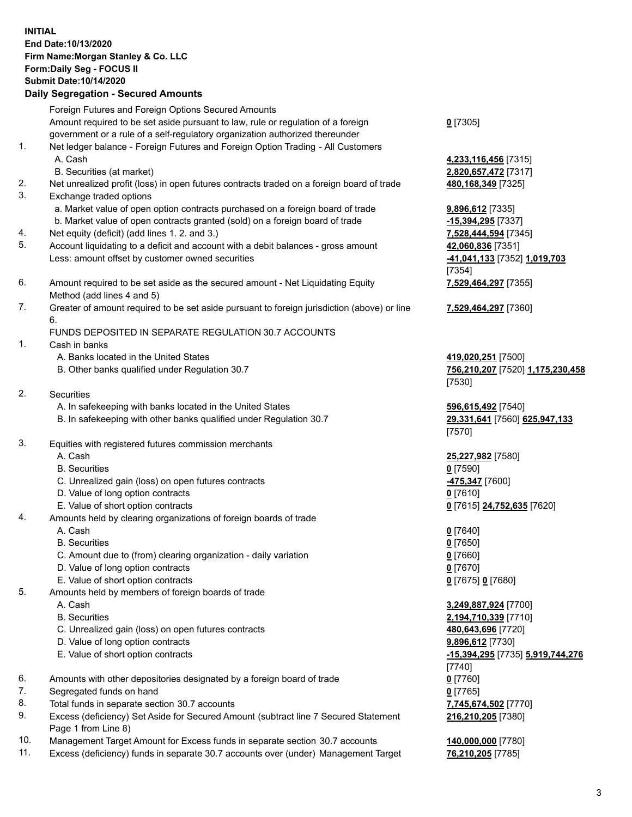## **INITIAL End Date:10/13/2020 Firm Name:Morgan Stanley & Co. LLC Form:Daily Seg - FOCUS II Submit Date:10/14/2020**

#### **Daily Segregation - Secured Amounts**

Foreign Futures and Foreign Options Secured Amounts Amount required to be set aside pursuant to law, rule or regulation of a foreign government or a rule of a self-regulatory organization authorized thereunder 1. Net ledger balance - Foreign Futures and Foreign Option Trading - All Customers

- A. Cash **4,233,116,456** [7315]
	- B. Securities (at market) **2,820,657,472** [7317]
- 2. Net unrealized profit (loss) in open futures contracts traded on a foreign board of trade **480,168,349** [7325]
- 3. Exchange traded options
	- a. Market value of open option contracts purchased on a foreign board of trade **9,896,612** [7335]
	- b. Market value of open contracts granted (sold) on a foreign board of trade **-15,394,295** [7337]
- 4. Net equity (deficit) (add lines 1. 2. and 3.) **7,528,444,594** [7345]
- 5. Account liquidating to a deficit and account with a debit balances gross amount **42,060,836** [7351] Less: amount offset by customer owned securities **-41,041,133** [7352] **1,019,703**
- 6. Amount required to be set aside as the secured amount Net Liquidating Equity Method (add lines 4 and 5)
- 7. Greater of amount required to be set aside pursuant to foreign jurisdiction (above) or line 6.

### FUNDS DEPOSITED IN SEPARATE REGULATION 30.7 ACCOUNTS

- 1. Cash in banks
	- A. Banks located in the United States **419,020,251** [7500]
	- B. Other banks qualified under Regulation 30.7 **756,210,207** [7520] **1,175,230,458**
- 2. Securities
	- A. In safekeeping with banks located in the United States **596,615,492** [7540]
	- B. In safekeeping with other banks qualified under Regulation 30.7 **29,331,641** [7560] **625,947,133**
- 3. Equities with registered futures commission merchants
	-
	- B. Securities **0** [7590]
	- C. Unrealized gain (loss) on open futures contracts **-475,347** [7600]
	- D. Value of long option contracts **0** [7610]
	- E. Value of short option contracts **0** [7615] **24,752,635** [7620]
- 4. Amounts held by clearing organizations of foreign boards of trade
	- A. Cash **0** [7640]
	- B. Securities **0** [7650]
	- C. Amount due to (from) clearing organization daily variation **0** [7660]
	- D. Value of long option contracts **0** [7670]
	- E. Value of short option contracts **0** [7675] **0** [7680]
- 5. Amounts held by members of foreign boards of trade
	-
	-
	- C. Unrealized gain (loss) on open futures contracts **480,643,696** [7720]
	- D. Value of long option contracts **9,896,612** [7730]
	-
- 6. Amounts with other depositories designated by a foreign board of trade **0** [7760]
- 7. Segregated funds on hand **0** [7765]
- 8. Total funds in separate section 30.7 accounts **7,745,674,502** [7770]
- 9. Excess (deficiency) Set Aside for Secured Amount (subtract line 7 Secured Statement Page 1 from Line 8)
- 10. Management Target Amount for Excess funds in separate section 30.7 accounts **140,000,000** [7780]
- 11. Excess (deficiency) funds in separate 30.7 accounts over (under) Management Target **76,210,205** [7785]

## **0** [7305]

[7354] **7,529,464,297** [7355]

**7,529,464,297** [7360]

[7530]

[7570]

A. Cash **25,227,982** [7580]

 A. Cash **3,249,887,924** [7700] B. Securities **2,194,710,339** [7710] E. Value of short option contracts **-15,394,295** [7735] **5,919,744,276** [7740] **216,210,205** [7380]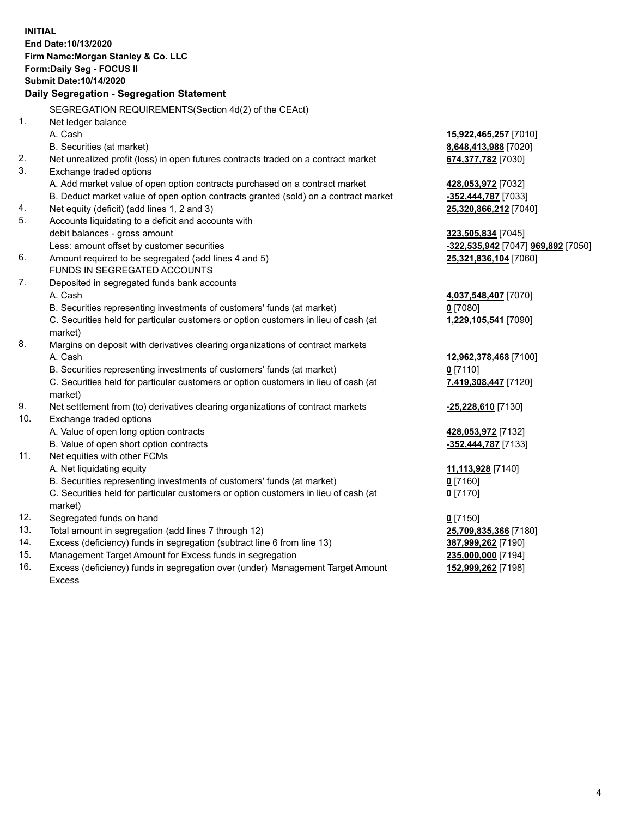|     | <b>INITIAL</b><br>End Date: 10/13/2020<br>Firm Name: Morgan Stanley & Co. LLC<br>Form: Daily Seg - FOCUS II |                                    |
|-----|-------------------------------------------------------------------------------------------------------------|------------------------------------|
|     | Submit Date: 10/14/2020                                                                                     |                                    |
|     | Daily Segregation - Segregation Statement                                                                   |                                    |
|     | SEGREGATION REQUIREMENTS(Section 4d(2) of the CEAct)                                                        |                                    |
| 1.  | Net ledger balance                                                                                          |                                    |
|     | A. Cash                                                                                                     | 15,922,465,257 [7010]              |
|     | B. Securities (at market)                                                                                   | 8,648,413,988 [7020]               |
| 2.  | Net unrealized profit (loss) in open futures contracts traded on a contract market                          | 674,377,782 [7030]                 |
| 3.  | Exchange traded options                                                                                     |                                    |
|     | A. Add market value of open option contracts purchased on a contract market                                 | 428,053,972 [7032]                 |
|     | B. Deduct market value of open option contracts granted (sold) on a contract market                         | -352,444,787 [7033]                |
| 4.  | Net equity (deficit) (add lines 1, 2 and 3)                                                                 | 25,320,866,212 [7040]              |
| 5.  | Accounts liquidating to a deficit and accounts with                                                         |                                    |
|     | debit balances - gross amount                                                                               | 323,505,834 [7045]                 |
|     | Less: amount offset by customer securities                                                                  | -322,535,942 [7047] 969,892 [7050] |
| 6.  | Amount required to be segregated (add lines 4 and 5)                                                        | 25,321,836,104 [7060]              |
|     | FUNDS IN SEGREGATED ACCOUNTS                                                                                |                                    |
| 7.  | Deposited in segregated funds bank accounts                                                                 |                                    |
|     | A. Cash                                                                                                     | 4,037,548,407 [7070]               |
|     | B. Securities representing investments of customers' funds (at market)                                      | $0$ [7080]                         |
|     | C. Securities held for particular customers or option customers in lieu of cash (at                         | 1,229,105,541 [7090]               |
|     | market)                                                                                                     |                                    |
| 8.  | Margins on deposit with derivatives clearing organizations of contract markets                              |                                    |
|     | A. Cash                                                                                                     | 12,962,378,468 [7100]              |
|     | B. Securities representing investments of customers' funds (at market)                                      | $0$ [7110]                         |
|     | C. Securities held for particular customers or option customers in lieu of cash (at<br>market)              | 7,419,308,447 [7120]               |
| 9.  | Net settlement from (to) derivatives clearing organizations of contract markets                             | -25,228,610 [7130]                 |
| 10. | Exchange traded options                                                                                     |                                    |
|     | A. Value of open long option contracts                                                                      | 428,053,972 [7132]                 |
|     | B. Value of open short option contracts                                                                     | -352,444,787 [7133]                |
| 11. | Net equities with other FCMs                                                                                |                                    |
|     | A. Net liquidating equity                                                                                   | 11,113,928 [7140]                  |
|     | B. Securities representing investments of customers' funds (at market)                                      | $0$ [7160]                         |
|     | C. Securities held for particular customers or option customers in lieu of cash (at<br>market)              | $0$ [7170]                         |
| 12. | Segregated funds on hand                                                                                    | $0$ [7150]                         |
| 13. | Total amount in segregation (add lines 7 through 12)                                                        | 25,709,835,366 [7180]              |
| 14. | Excess (deficiency) funds in segregation (subtract line 6 from line 13)                                     | 387,999,262 [7190]                 |
| 15. | Management Target Amount for Excess funds in segregation                                                    | 235,000,000 [7194]                 |
| 16. | Excess (deficiency) funds in segregation over (under) Management Target Amount                              | 152,999,262 [7198]                 |

16. Excess (deficiency) funds in segregation over (under) Management Target Amount Excess